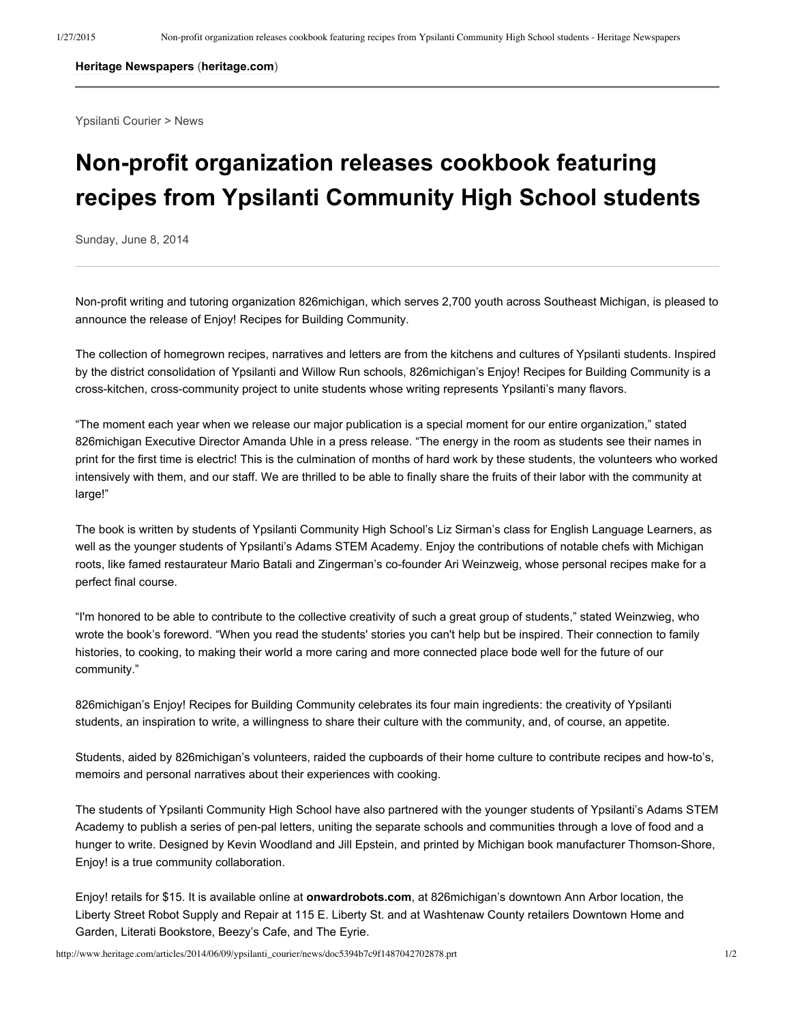## **Heritage Newspapers** (**heritage.com**)

Ypsilanti Courier > News

## **Non-profit organization releases cookbook featuring recipes from Ypsilanti Community High School students**

Sunday, June 8, 2014

Non-profit writing and tutoring organization 826michigan, which serves 2,700 youth across Southeast Michigan, is pleased to announce the release of Enjoy! Recipes for Building Community.

The collection of homegrown recipes, narratives and letters are from the kitchens and cultures of Ypsilanti students. Inspired by the district consolidation of Ypsilanti and Willow Run schools, 826michigan's Enjoy! Recipes for Building Community is a cross-kitchen, cross-community project to unite students whose writing represents Ypsilanti's many flavors.

"The moment each year when we release our major publication is a special moment for our entire organization," stated 826michigan Executive Director Amanda Uhle in a press release. "The energy in the room as students see their names in print for the first time is electric! This is the culmination of months of hard work by these students, the volunteers who worked intensively with them, and our staff. We are thrilled to be able to finally share the fruits of their labor with the community at large!"

The book is written by students of Ypsilanti Community High School's Liz Sirman's class for English Language Learners, as well as the younger students of Ypsilanti's Adams STEM Academy. Enjoy the contributions of notable chefs with Michigan roots, like famed restaurateur Mario Batali and Zingerman's co-founder Ari Weinzweig, whose personal recipes make for a perfect final course.

"I'm honored to be able to contribute to the collective creativity of such a great group of students," stated Weinzwieg, who wrote the book's foreword. "When you read the students' stories you can't help but be inspired. Their connection to family histories, to cooking, to making their world a more caring and more connected place bode well for the future of our community."

826michigan's Enjoy! Recipes for Building Community celebrates its four main ingredients: the creativity of Ypsilanti students, an inspiration to write, a willingness to share their culture with the community, and, of course, an appetite.

Students, aided by 826michigan's volunteers, raided the cupboards of their home culture to contribute recipes and howto's, memoirs and personal narratives about their experiences with cooking.

The students of Ypsilanti Community High School have also partnered with the younger students of Ypsilanti's Adams STEM Academy to publish a series of pen-pal letters, uniting the separate schools and communities through a love of food and a hunger to write. Designed by Kevin Woodland and Jill Epstein, and printed by Michigan book manufacturer Thomson-Shore, Enjoy! is a true community collaboration.

Enjoy! retails for \$15. It is available online at **onwardrobots.com**, at 826michigan's downtown Ann Arbor location, the Liberty Street Robot Supply and Repair at 115 E. Liberty St. and at Washtenaw County retailers Downtown Home and Garden, Literati Bookstore, Beezy's Cafe, and The Eyrie.